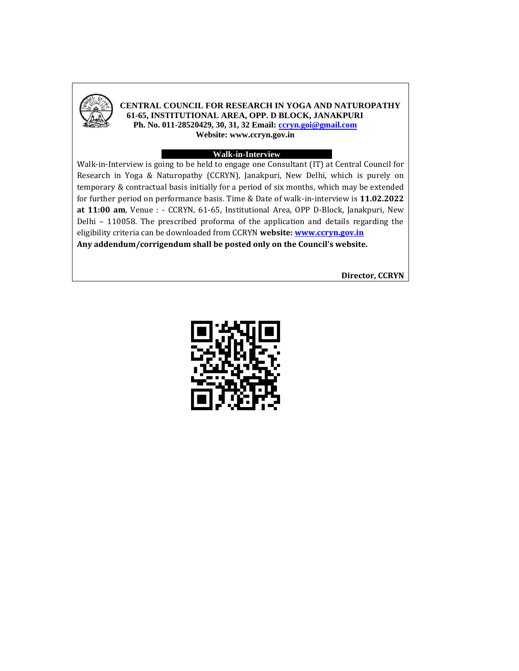

#### **CENTRAL COUNCIL FOR RESEARCH IN YOGA AND NATUROPATHY 61-65, INSTITUTIONAL AREA, OPP. D BLOCK, JANAKPURI Ph. No. 011-28520429, 30, 31, 32 Email[: ccryn.goi@gmail.com](mailto:ccryn.goi@gmail.com)**

**Website: www.ccryn.gov.in**

#### **Walk-in-Interview**

Walk-in-Interview is going to be held to engage one Consultant (IT) at Central Council for Research in Yoga & Naturopathy (CCRYN), Janakpuri, New Delhi, which is purely on temporary & contractual basis initially for a period of six months, which may be extended for further period on performance basis. Time & Date of walk-in-interview is **11.02.2022 at 11:00 am**, Venue : - CCRYN, 61-65, Institutional Area, OPP D-Block, Janakpuri, New Delhi – 110058. The prescribed proforma of the application and details regarding the eligibility criteria can be downloaded from CCRYN **website: [www.ccryn.gov.in](http://www.ccryn.gov.in/) Any addendum/corrigendum shall be posted only on the Council's website.**

**Director, CCRYN**

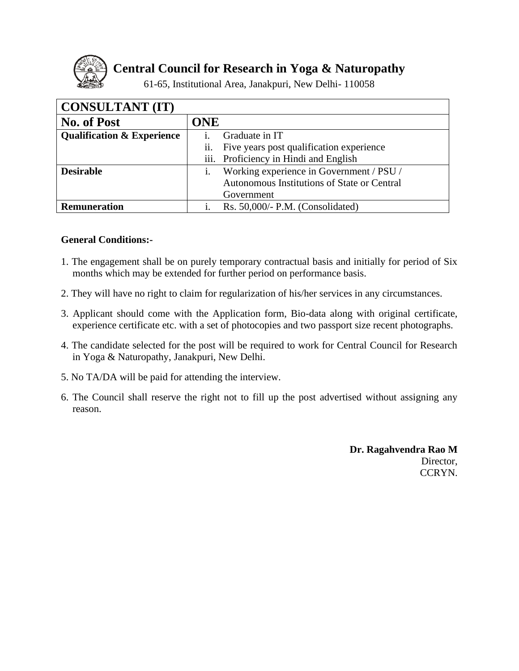

**Central Council for Research in Yoga & Naturopathy**

61-65, Institutional Area, Janakpuri, New Delhi- 110058

| <b>CONSULTANT (IT)</b>                |                                                 |
|---------------------------------------|-------------------------------------------------|
| <b>No. of Post</b>                    | <b>ONE</b>                                      |
| <b>Qualification &amp; Experience</b> | Graduate in IT                                  |
|                                       | ii.<br>Five years post qualification experience |
|                                       | iii. Proficiency in Hindi and English           |
| <b>Desirable</b>                      | Working experience in Government / PSU /        |
|                                       | Autonomous Institutions of State or Central     |
|                                       | Government                                      |
| <b>Remuneration</b>                   | Rs. $50,000/-$ P.M. (Consolidated)              |

## **General Conditions:-**

- 1. The engagement shall be on purely temporary contractual basis and initially for period of Six months which may be extended for further period on performance basis.
- 2. They will have no right to claim for regularization of his/her services in any circumstances.
- 3. Applicant should come with the Application form, Bio-data along with original certificate, experience certificate etc. with a set of photocopies and two passport size recent photographs.
- 4. The candidate selected for the post will be required to work for Central Council for Research in Yoga & Naturopathy, Janakpuri, New Delhi.
- 5. No TA/DA will be paid for attending the interview.
- 6. The Council shall reserve the right not to fill up the post advertised without assigning any reason.

**Dr. Ragahvendra Rao M** Director, CCRYN.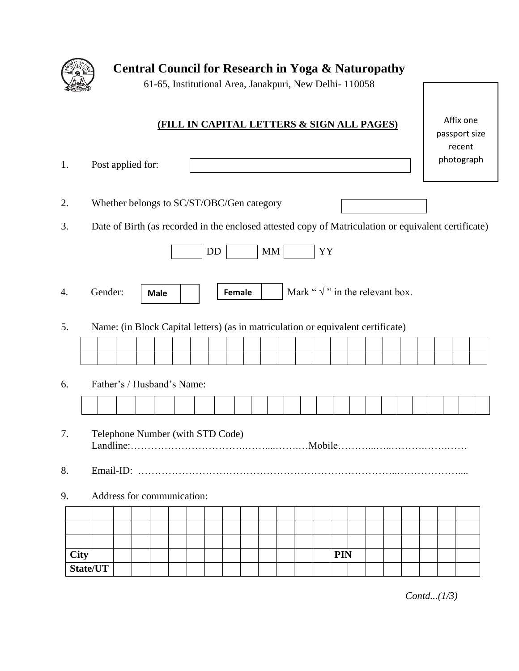

**Central Council for Research in Yoga & Naturopathy**

61-65, Institutional Area, Janakpuri, New Delhi- 110058

# **(FILL IN CAPITAL LETTERS & SIGN ALL PAGES)**

Affix one passport size recent photograph

1. Post applied for: 2. Whether belongs to SC/ST/OBC/Gen category

3. Date of Birth (as recorded in the enclosed attested copy of Matriculation or equivalent certificate)

|  | . <i>i</i> ender: | <b>Male</b> |  | Female |  | Mark " $\vee$ " in the relevant box. |
|--|-------------------|-------------|--|--------|--|--------------------------------------|
|--|-------------------|-------------|--|--------|--|--------------------------------------|

5. Name: (in Block Capital letters) (as in matriculation or equivalent certificate)

# 6. Father's / Husband's Name:

- 7. Telephone Number (with STD Code) Landline:…………………………….……....…….…Mobile………...…..……….…….……
- 8. Email-ID: …………………………………………………………………..………………....
- 9. Address for communication:

| <b>City</b> |  |  |  |  |  |  |  | <b>PIN</b> |  |  |  |  |
|-------------|--|--|--|--|--|--|--|------------|--|--|--|--|
| State/UT    |  |  |  |  |  |  |  |            |  |  |  |  |

*Contd...(1/3)*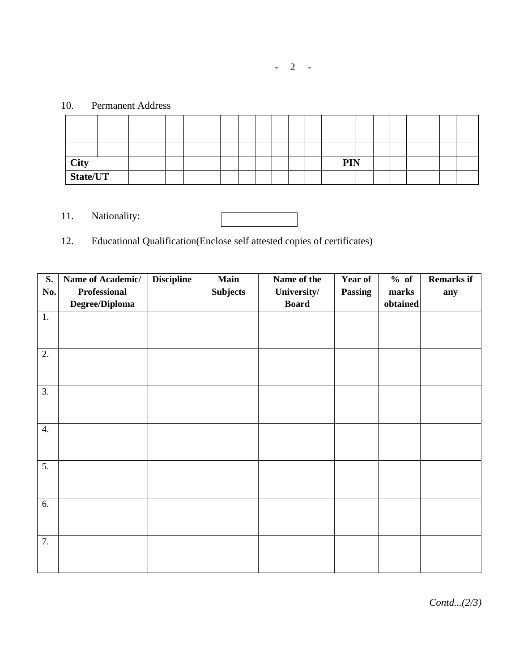# 10. Permanent Address

| <b>City</b> |  |  |  |  |  |  |  | <b>PIN</b> |  |  |  |  |
|-------------|--|--|--|--|--|--|--|------------|--|--|--|--|
| State/UT    |  |  |  |  |  |  |  |            |  |  |  |  |

11. Nationality:

12. Educational Qualification(Enclose self attested copies of certificates)

| S.  | Name of Academic/   | <b>Discipline</b> | Main            | Name of the  | <b>Year of</b> | % of     | <b>Remarks if</b> |
|-----|---------------------|-------------------|-----------------|--------------|----------------|----------|-------------------|
| No. | <b>Professional</b> |                   | <b>Subjects</b> | University/  | <b>Passing</b> | marks    | any               |
|     | Degree/Diploma      |                   |                 | <b>Board</b> |                | obtained |                   |
| 1.  |                     |                   |                 |              |                |          |                   |
|     |                     |                   |                 |              |                |          |                   |
|     |                     |                   |                 |              |                |          |                   |
| 2.  |                     |                   |                 |              |                |          |                   |
|     |                     |                   |                 |              |                |          |                   |
|     |                     |                   |                 |              |                |          |                   |
| 3.  |                     |                   |                 |              |                |          |                   |
|     |                     |                   |                 |              |                |          |                   |
|     |                     |                   |                 |              |                |          |                   |
| 4.  |                     |                   |                 |              |                |          |                   |
|     |                     |                   |                 |              |                |          |                   |
|     |                     |                   |                 |              |                |          |                   |
| 5.  |                     |                   |                 |              |                |          |                   |
|     |                     |                   |                 |              |                |          |                   |
|     |                     |                   |                 |              |                |          |                   |
| 6.  |                     |                   |                 |              |                |          |                   |
|     |                     |                   |                 |              |                |          |                   |
|     |                     |                   |                 |              |                |          |                   |
| 7.  |                     |                   |                 |              |                |          |                   |
|     |                     |                   |                 |              |                |          |                   |
|     |                     |                   |                 |              |                |          |                   |

*Contd...(2/3)*